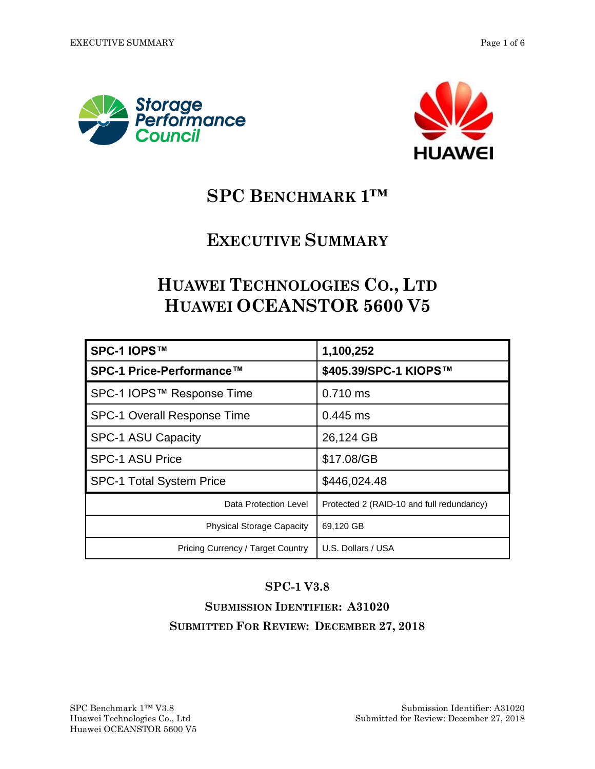



# **SPC BENCHMARK 1™**

## **EXECUTIVE SUMMARY**

# **HUAWEI TECHNOLOGIES CO., LTD HUAWEI OCEANSTOR 5600 V5**

| SPC-1 IOPS™                        | 1,100,252                                 |
|------------------------------------|-------------------------------------------|
| SPC-1 Price-Performance™           | \$405.39/SPC-1 KIOPS™                     |
| SPC-1 IOPS™ Response Time          | $0.710$ ms                                |
| <b>SPC-1 Overall Response Time</b> | 0.445 ms                                  |
| <b>SPC-1 ASU Capacity</b>          | 26,124 GB                                 |
| <b>SPC-1 ASU Price</b>             | \$17.08/GB                                |
| <b>SPC-1 Total System Price</b>    | \$446,024.48                              |
| Data Protection Level              | Protected 2 (RAID-10 and full redundancy) |
| <b>Physical Storage Capacity</b>   | 69,120 GB                                 |
| Pricing Currency / Target Country  | U.S. Dollars / USA                        |

#### **SPC-1 V3.8**

### **SUBMISSION IDENTIFIER: A31020 SUBMITTED FOR REVIEW: DECEMBER 27, 2018**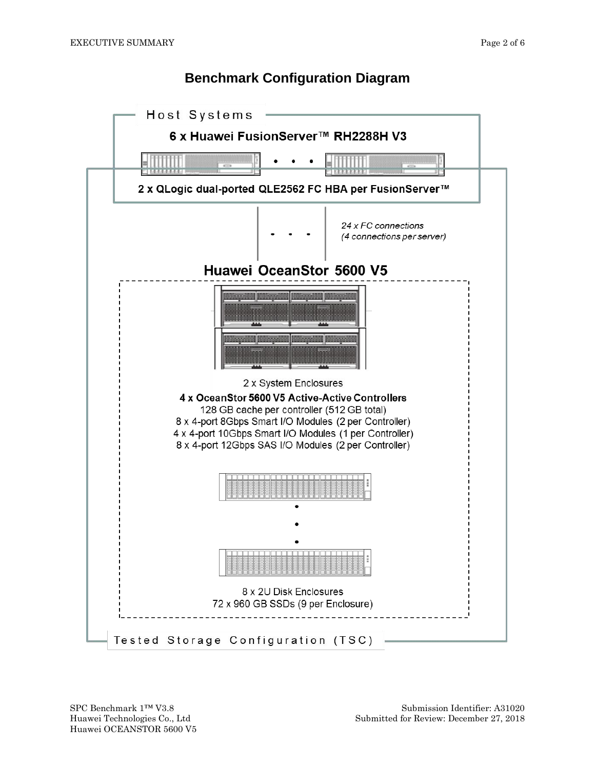#### **Benchmark Configuration Diagram**

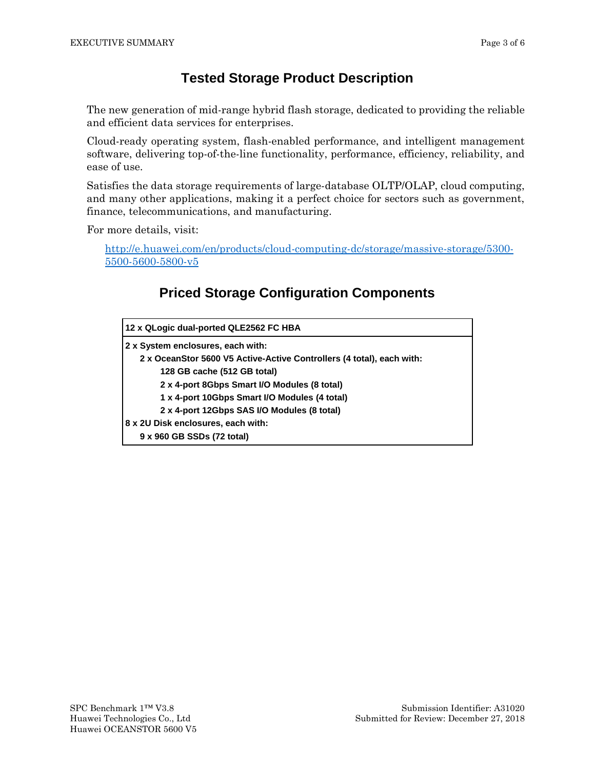#### **Tested Storage Product Description**

The new generation of mid-range hybrid flash storage, dedicated to providing the reliable and efficient data services for enterprises.

Cloud-ready operating system, flash-enabled performance, and intelligent management software, delivering top-of-the-line functionality, performance, efficiency, reliability, and ease of use.

Satisfies the data storage requirements of large-database OLTP/OLAP, cloud computing, and many other applications, making it a perfect choice for sectors such as government, finance, telecommunications, and manufacturing.

For more details, visit:

[http://e.huawei.com/en/products/cloud-computing-dc/storage/massive-storage/5300-](http://e.huawei.com/en/products/cloud-computing-dc/storage/massive-storage/5300-5500-5600-5800-v5) [5500-5600-5800-v5](http://e.huawei.com/en/products/cloud-computing-dc/storage/massive-storage/5300-5500-5600-5800-v5)

### **Priced Storage Configuration Components**

| 12 x QLogic dual-ported QLE2562 FC HBA                                |  |  |
|-----------------------------------------------------------------------|--|--|
| 2 x System enclosures, each with:                                     |  |  |
| 2 x OceanStor 5600 V5 Active-Active Controllers (4 total), each with: |  |  |
| 128 GB cache (512 GB total)                                           |  |  |
| 2 x 4-port 8Gbps Smart I/O Modules (8 total)                          |  |  |
| 1 x 4-port 10Gbps Smart I/O Modules (4 total)                         |  |  |
| 2 x 4-port 12Gbps SAS I/O Modules (8 total)                           |  |  |
| 8 x 2U Disk enclosures, each with:                                    |  |  |
| 9 x 960 GB SSDs (72 total)                                            |  |  |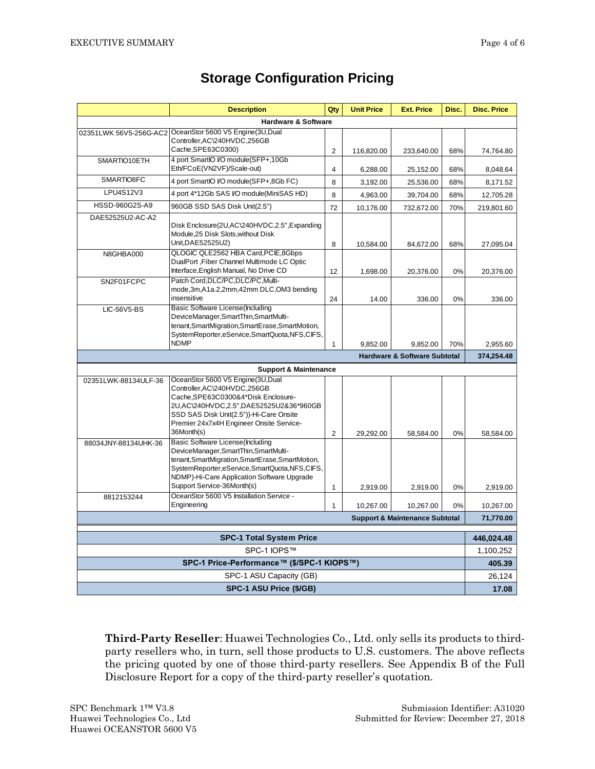|                                            | <b>Description</b>                                                                                                                                                                                                                                        | Qty                     | <b>Unit Price</b> | <b>Ext. Price</b>                         | Disc.      | <b>Disc. Price</b> |
|--------------------------------------------|-----------------------------------------------------------------------------------------------------------------------------------------------------------------------------------------------------------------------------------------------------------|-------------------------|-------------------|-------------------------------------------|------------|--------------------|
|                                            | <b>Hardware &amp; Software</b>                                                                                                                                                                                                                            |                         |                   |                                           |            |                    |
|                                            | 02351LWK 56V5-256G-AC2 OceanStor 5600 V5 Engine(3U,Dual<br>Controller, AC\240HVDC, 256GB                                                                                                                                                                  |                         |                   |                                           |            |                    |
|                                            | Cache, SPE63C0300)                                                                                                                                                                                                                                        | 2                       | 116,820.00        | 233,640.00                                | 68%        | 74,764.80          |
| SMARTIO10ETH                               | 4 port SmartIO I/O module(SFP+,10Gb)                                                                                                                                                                                                                      |                         |                   |                                           |            |                    |
|                                            | Eth/FCoE(VN2VF)/Scale-out)                                                                                                                                                                                                                                | $\overline{\mathbf{4}}$ | 6,288.00          | 25,152.00                                 | 68%        | 8,048.64           |
| SMARTIO8FC                                 | 4 port SmartIO I/O module(SFP+,8Gb FC)                                                                                                                                                                                                                    | 8                       | 3,192.00          | 25,536.00                                 | 68%        | 8,171.52           |
| LPU4S12V3                                  | 4 port 4*12Gb SAS I/O module(MiniSAS HD)                                                                                                                                                                                                                  | 8                       | 4,963.00          | 39,704.00                                 | 68%        | 12,705.28          |
| HSSD-960G2S-A9                             | 960GB SSD SAS Disk Unit(2.5")                                                                                                                                                                                                                             | 72                      | 10,176.00         | 732,672.00                                | 70%        | 219,801.60         |
| DAE52525U2-AC-A2                           | Disk Enclosure(2U,AC\240HVDC,2.5",Expanding<br>Module, 25 Disk Slots, without Disk<br>Unit, DAE52525U2)                                                                                                                                                   | 8                       | 10,584.00         | 84,672.00                                 | 68%        | 27,095.04          |
| N8GHBA000                                  | QLOGIC QLE2562 HBA Card, PCIE, 8Gbps<br>DualPort, Fiber Channel Multimode LC Optic                                                                                                                                                                        |                         |                   |                                           |            |                    |
|                                            | Interface, English Manual, No Drive CD                                                                                                                                                                                                                    | 12                      | 1,698.00          | 20,376.00                                 | 0%         | 20,376.00          |
| SN2F01FCPC                                 | Patch Cord.DLC/PC.DLC/PC.Multi-<br>mode, 3m, A1a.2, 2mm, 42mm DLC, OM3 bending<br>insensitive                                                                                                                                                             | 24                      | 14.00             | 336.00                                    | 0%         | 336.00             |
| <b>LIC-56V5-BS</b>                         | Basic Software License (Including                                                                                                                                                                                                                         |                         |                   |                                           |            |                    |
|                                            | DeviceManager, SmartThin, SmartMulti-<br>tenant, SmartMigration, SmartErase, SmartMotion,<br>SystemReporter,eService,SmartQuota,NFS,CIFS,                                                                                                                 |                         |                   |                                           |            |                    |
|                                            | <b>NDMP</b>                                                                                                                                                                                                                                               | $\mathbf{1}$            | 9,852.00          | 9,852.00                                  | 70%        | 2,955.60           |
|                                            |                                                                                                                                                                                                                                                           |                         |                   | <b>Hardware &amp; Software Subtotal</b>   |            | 374,254.48         |
|                                            | <b>Support &amp; Maintenance</b>                                                                                                                                                                                                                          |                         |                   |                                           |            |                    |
| 02351LWK-88134ULF-36                       | OceanStor 5600 V5 Engine(3U,Dual                                                                                                                                                                                                                          |                         |                   |                                           |            |                    |
|                                            | Controller, AC\240HVDC, 256GB<br>Cache, SPE63C0300&4*Disk Enclosure-<br>2U, AC\240HVDC, 2.5", DAE52525U2&36*960GB<br>SSD SAS Disk Unit(2.5"))-Hi-Care Onsite<br>Premier 24x7x4H Engineer Onsite Service-<br>36Month(s)                                    | $\overline{2}$          | 29,292.00         | 58,584.00                                 | 0%         | 58,584.00          |
| 88034JNY-88134UHK-36                       | Basic Software License(Including<br>DeviceManager, SmartThin, SmartMulti-<br>tenant, SmartMigration, SmartErase, SmartMotion,<br>SystemReporter,eService,SmartQuota,NFS,CIFS,<br>NDMP)-Hi-Care Application Software Upgrade<br>Support Service-36Month(s) | $\mathbf{1}$            | 2,919.00          | 2,919.00                                  | 0%         | 2,919.00           |
| 8812153244                                 | OceanStor 5600 V5 Installation Service -                                                                                                                                                                                                                  |                         |                   |                                           |            |                    |
|                                            | Engineering                                                                                                                                                                                                                                               | $\mathbf{1}$            | 10,267.00         | 10,267.00                                 | 0%         | 10,267.00          |
|                                            |                                                                                                                                                                                                                                                           |                         |                   | <b>Support &amp; Maintenance Subtotal</b> |            | 71,770.00          |
| <b>SPC-1 Total System Price</b>            |                                                                                                                                                                                                                                                           |                         |                   |                                           | 446,024.48 |                    |
| SPC-1 IOPS™                                |                                                                                                                                                                                                                                                           |                         |                   |                                           | 1,100,252  |                    |
| SPC-1 Price-Performance™ (\$/SPC-1 KIOPS™) |                                                                                                                                                                                                                                                           |                         |                   | 405.39                                    |            |                    |
| SPC-1 ASU Capacity (GB)                    |                                                                                                                                                                                                                                                           |                         |                   |                                           | 26,124     |                    |
| SPC-1 ASU Price (\$/GB)                    |                                                                                                                                                                                                                                                           |                         |                   |                                           | 17.08      |                    |

#### **Storage Configuration Pricing**

**Third-Party Reseller**: Huawei Technologies Co., Ltd. only sells its products to thirdparty resellers who, in turn, sell those products to U.S. customers. The above reflects the pricing quoted by one of those third-party resellers. See Appendix B of the Full Disclosure Report for a copy of the third-party reseller's quotation.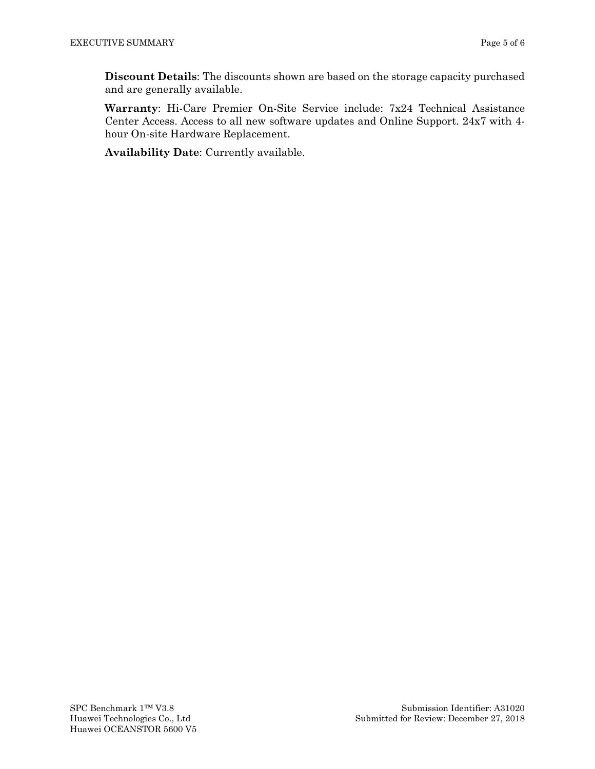**Discount Details**: The discounts shown are based on the storage capacity purchased and are generally available.

**Warranty**: Hi-Care Premier On-Site Service include: 7x24 Technical Assistance Center Access. Access to all new software updates and Online Support. 24x7 with 4 hour On-site Hardware Replacement.

**Availability Date**: Currently available.